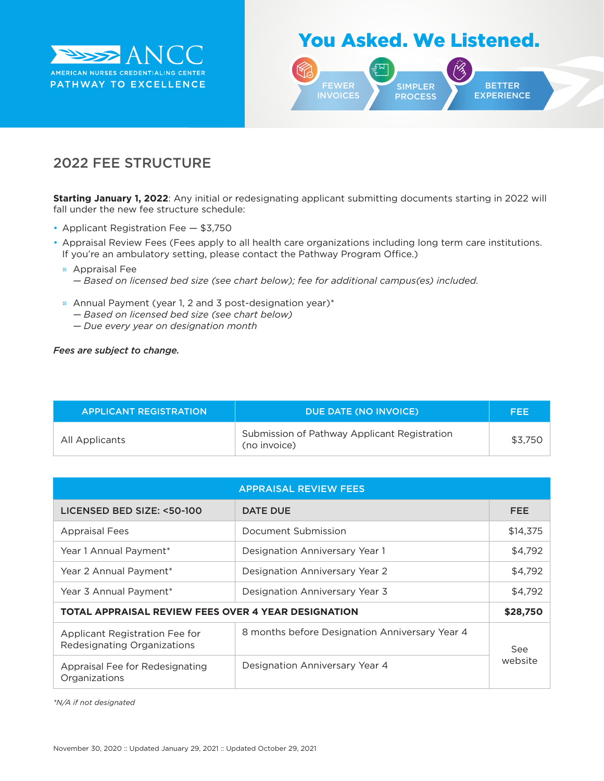

## You Asked. We Listened.



## 2022 FEE STRUCTURE

**Starting January 1, 2022**: Any initial or redesignating applicant submitting documents starting in 2022 will fall under the new fee structure schedule:

- Applicant Registration Fee \$3,750
- Appraisal Review Fees (Fees apply to all health care organizations including long term care institutions. If you're an ambulatory setting, please contact the Pathway Program Office.)

Appraisal Fee

*— Based on licensed bed size (see chart below); fee for additional campus(es) included.*

Annual Payment (year 1, 2 and 3 post-designation year)\*

- *— Based on licensed bed size (see chart below)*
- *— Due every year on designation month*

## *Fees are subject to change.*

| <b>APPLICANT REGISTRATION</b> | DUE DATE (NO INVOICE)                                        | FEE     |
|-------------------------------|--------------------------------------------------------------|---------|
| All Applicants                | Submission of Pathway Applicant Registration<br>(no invoice) | \$3.750 |

| <b>APPRAISAL REVIEW FEES</b>                                  |                                                |                |
|---------------------------------------------------------------|------------------------------------------------|----------------|
| LICENSED BED SIZE: <50-100                                    | <b>DATE DUE</b>                                | <b>FEE</b>     |
| <b>Appraisal Fees</b>                                         | Document Submission                            | \$14,375       |
| Year 1 Annual Payment*                                        | Designation Anniversary Year 1                 | \$4,792        |
| Year 2 Annual Payment*                                        | Designation Anniversary Year 2                 | \$4,792        |
| Year 3 Annual Payment*                                        | Designation Anniversary Year 3                 | \$4,792        |
| <b>TOTAL APPRAISAL REVIEW FEES OVER 4 YEAR DESIGNATION</b>    |                                                | \$28,750       |
| Applicant Registration Fee for<br>Redesignating Organizations | 8 months before Designation Anniversary Year 4 | See<br>website |
| Appraisal Fee for Redesignating<br>Organizations              | Designation Anniversary Year 4                 |                |

*\*N/A if not designated*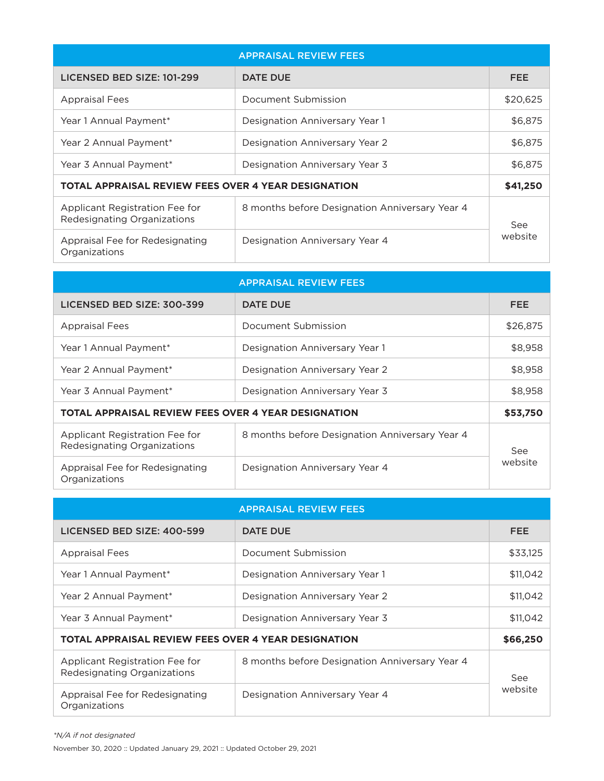| <b>APPRAISAL REVIEW FEES</b>                                  |                                                |                |
|---------------------------------------------------------------|------------------------------------------------|----------------|
| LICENSED BED SIZE: 101-299                                    | <b>DATE DUE</b>                                | <b>FEE</b>     |
| <b>Appraisal Fees</b>                                         | Document Submission                            | \$20,625       |
| Year 1 Annual Payment*                                        | Designation Anniversary Year 1                 | \$6,875        |
| Year 2 Annual Payment*                                        | Designation Anniversary Year 2                 | \$6,875        |
| Year 3 Annual Payment*                                        | Designation Anniversary Year 3                 | \$6,875        |
| <b>TOTAL APPRAISAL REVIEW FEES OVER 4 YEAR DESIGNATION</b>    |                                                | \$41,250       |
| Applicant Registration Fee for<br>Redesignating Organizations | 8 months before Designation Anniversary Year 4 | See<br>website |
| Appraisal Fee for Redesignating<br>Organizations              | Designation Anniversary Year 4                 |                |

|                                                               | <b>APPRAISAL REVIEW FEES</b>                   |                |
|---------------------------------------------------------------|------------------------------------------------|----------------|
| LICENSED BED SIZE: 300-399                                    | DATE DUE                                       | <b>FEE</b>     |
| <b>Appraisal Fees</b>                                         | Document Submission                            | \$26,875       |
| Year 1 Annual Payment*                                        | Designation Anniversary Year 1                 | \$8,958        |
| Year 2 Annual Payment*                                        | Designation Anniversary Year 2                 | \$8,958        |
| Year 3 Annual Payment*                                        | Designation Anniversary Year 3                 | \$8,958        |
| <b>TOTAL APPRAISAL REVIEW FEES OVER 4 YEAR DESIGNATION</b>    |                                                | \$53,750       |
| Applicant Registration Fee for<br>Redesignating Organizations | 8 months before Designation Anniversary Year 4 | See<br>website |
| Appraisal Fee for Redesignating<br>Organizations              | Designation Anniversary Year 4                 |                |

|                                                               | <b>APPRAISAL REVIEW FEES</b>                   |                |
|---------------------------------------------------------------|------------------------------------------------|----------------|
| LICENSED BED SIZE: 400-599                                    | <b>DATE DUE</b>                                | <b>FEE</b>     |
| <b>Appraisal Fees</b>                                         | Document Submission                            | \$33,125       |
| Year 1 Annual Payment*                                        | Designation Anniversary Year 1                 | \$11,042       |
| Year 2 Annual Payment*                                        | Designation Anniversary Year 2                 | \$11,042       |
| Year 3 Annual Payment*                                        | Designation Anniversary Year 3                 | \$11,042       |
| <b>TOTAL APPRAISAL REVIEW FEES OVER 4 YEAR DESIGNATION</b>    |                                                | \$66,250       |
| Applicant Registration Fee for<br>Redesignating Organizations | 8 months before Designation Anniversary Year 4 | See<br>website |
| Appraisal Fee for Redesignating<br>Organizations              | Designation Anniversary Year 4                 |                |